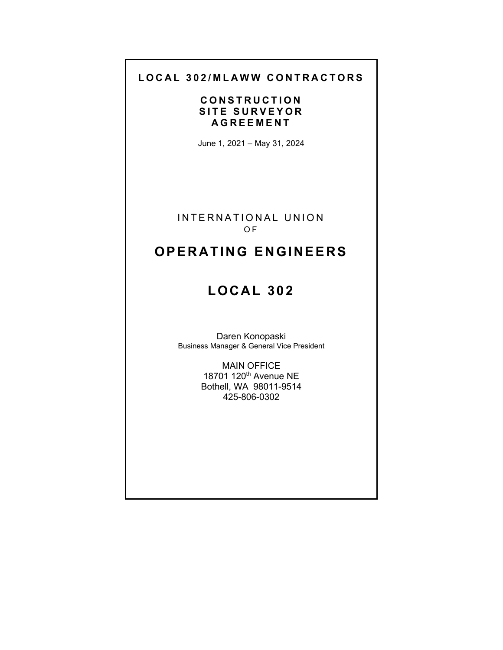# **LOCAL 302/MLAWW CONTRACTORS**

# **CONSTRUCTION SITE SURVEYOR AGREEMENT**

June 1, 2021 – May 31, 2024

INTERNATIONAL UNION O F

# **OPERATING ENGINEERS**

# **LOCAL 302**

Daren Konopaski Business Manager & General Vice President

> MAIN OFFICE 18701 120<sup>th</sup> Avenue NE Bothell, WA 98011-9514 425-806-0302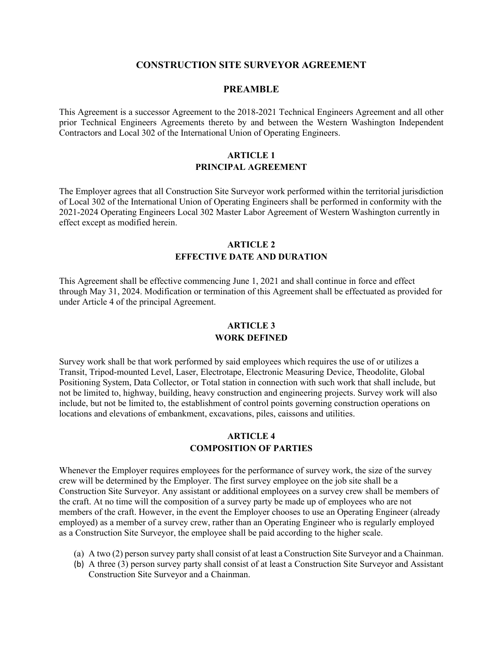#### **CONSTRUCTION SITE SURVEYOR AGREEMENT**

#### **PREAMBLE**

This Agreement is a successor Agreement to the 2018-2021 Technical Engineers Agreement and all other prior Technical Engineers Agreements thereto by and between the Western Washington Independent Contractors and Local 302 of the International Union of Operating Engineers.

### **ARTICLE 1 PRINCIPAL AGREEMENT**

The Employer agrees that all Construction Site Surveyor work performed within the territorial jurisdiction of Local 302 of the International Union of Operating Engineers shall be performed in conformity with the 2021-2024 Operating Engineers Local 302 Master Labor Agreement of Western Washington currently in effect except as modified herein.

#### **ARTICLE 2 EFFECTIVE DATE AND DURATION**

This Agreement shall be effective commencing June 1, 2021 and shall continue in force and effect through May 31, 2024. Modification or termination of this Agreement shall be effectuated as provided for under Article 4 of the principal Agreement.

# **ARTICLE 3 WORK DEFINED**

Survey work shall be that work performed by said employees which requires the use of or utilizes a Transit, Tripod-mounted Level, Laser, Electrotape, Electronic Measuring Device, Theodolite, Global Positioning System, Data Collector, or Total station in connection with such work that shall include, but not be limited to, highway, building, heavy construction and engineering projects. Survey work will also include, but not be limited to, the establishment of control points governing construction operations on locations and elevations of embankment, excavations, piles, caissons and utilities.

#### **ARTICLE 4 COMPOSITION OF PARTIES**

Whenever the Employer requires employees for the performance of survey work, the size of the survey crew will be determined by the Employer. The first survey employee on the job site shall be a Construction Site Surveyor. Any assistant or additional employees on a survey crew shall be members of the craft. At no time will the composition of a survey party be made up of employees who are not members of the craft. However, in the event the Employer chooses to use an Operating Engineer (already employed) as a member of a survey crew, rather than an Operating Engineer who is regularly employed as a Construction Site Surveyor, the employee shall be paid according to the higher scale.

- (a) A two (2) person survey party shall consist of at least a Construction Site Surveyor and a Chainman.
- (b) A three (3) person survey party shall consist of at least a Construction Site Surveyor and Assistant Construction Site Surveyor and a Chainman.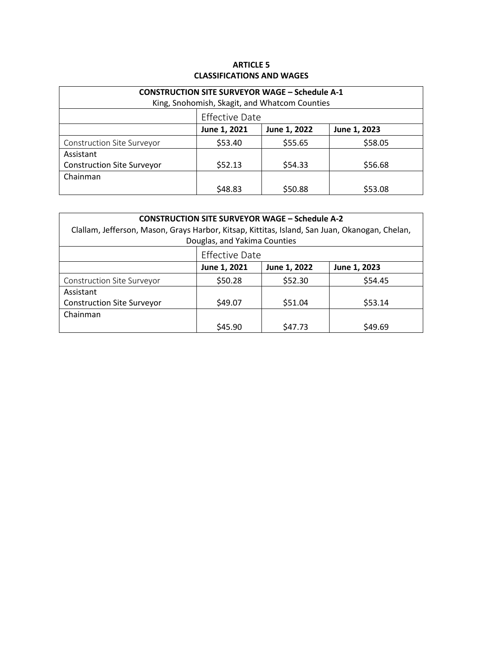# **ARTICLE 5 CLASSIFICATIONS AND WAGES**

| <b>CONSTRUCTION SITE SURVEYOR WAGE - Schedule A-1</b> |                       |              |              |  |
|-------------------------------------------------------|-----------------------|--------------|--------------|--|
| King, Snohomish, Skagit, and Whatcom Counties         |                       |              |              |  |
|                                                       | <b>Effective Date</b> |              |              |  |
|                                                       | June 1, 2021          | June 1, 2022 | June 1, 2023 |  |
| Construction Site Surveyor                            | \$53.40               | \$55.65      | \$58.05      |  |
| Assistant                                             |                       |              |              |  |
| <b>Construction Site Surveyor</b>                     | \$52.13               | \$54.33      | \$56.68      |  |
| Chainman                                              |                       |              |              |  |
|                                                       | \$48.83               | \$50.88      | \$53.08      |  |

| <b>CONSTRUCTION SITE SURVEYOR WAGE - Schedule A-2</b><br>Clallam, Jefferson, Mason, Grays Harbor, Kitsap, Kittitas, Island, San Juan, Okanogan, Chelan,<br>Douglas, and Yakima Counties |                       |              |              |  |  |
|-----------------------------------------------------------------------------------------------------------------------------------------------------------------------------------------|-----------------------|--------------|--------------|--|--|
|                                                                                                                                                                                         | <b>Effective Date</b> |              |              |  |  |
|                                                                                                                                                                                         | June 1, 2021          | June 1, 2022 | June 1, 2023 |  |  |
| Construction Site Surveyor                                                                                                                                                              | \$50.28               | \$52.30      | \$54.45      |  |  |
| Assistant                                                                                                                                                                               |                       |              |              |  |  |
| <b>Construction Site Surveyor</b>                                                                                                                                                       | \$49.07               | \$51.04      | \$53.14      |  |  |
| Chainman                                                                                                                                                                                |                       |              |              |  |  |
|                                                                                                                                                                                         | \$45.90               | \$47.73      | \$49.69      |  |  |